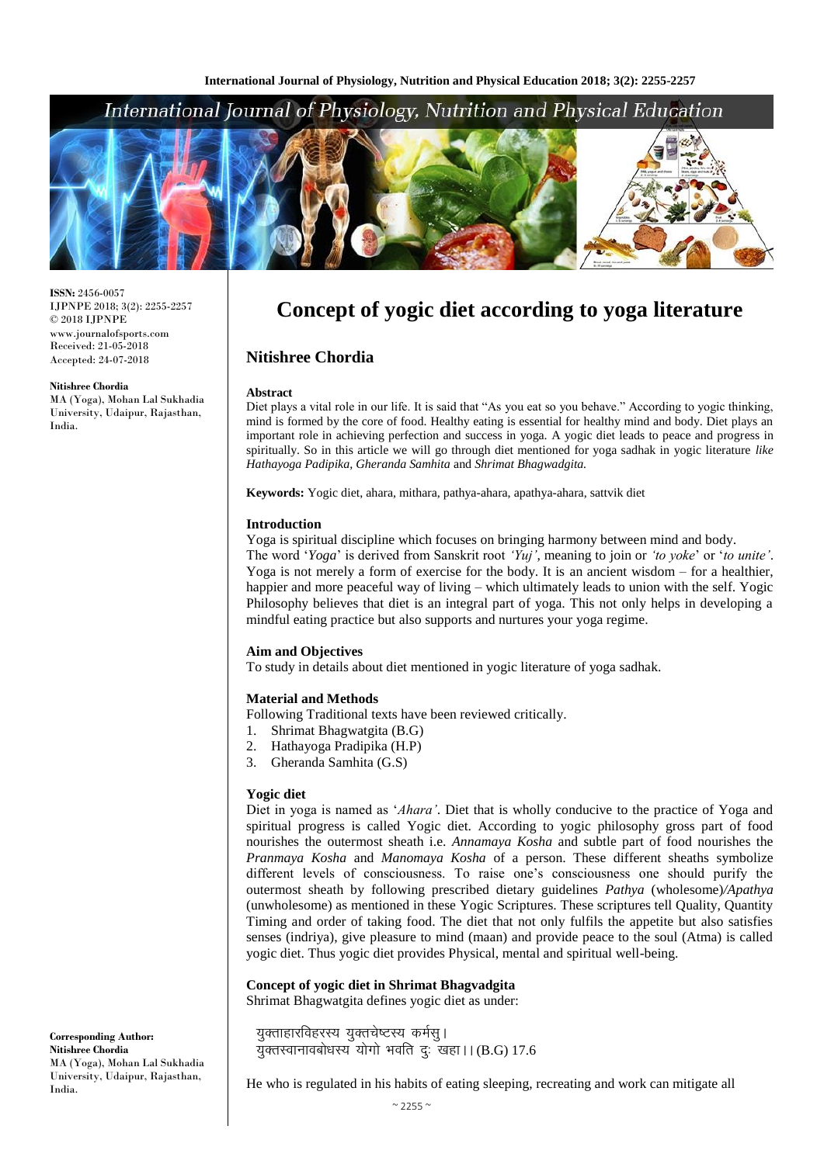## International Journal of Physiology, Nutrition and Physical Education



**ISSN:** 2456-0057 IJPNPE 2018; 3(2): 2255-2257 © 2018 IJPNPE www.journalofsports.com Received: 21-05-2018 Accepted: 24-07-2018

**Nitishree Chordia**

MA (Yoga), Mohan Lal Sukhadia University, Udaipur, Rajasthan, India.

# **Concept of yogic diet according to yoga literature**

## **Nitishree Chordia**

#### **Abstract**

Diet plays a vital role in our life. It is said that "As you eat so you behave." According to yogic thinking, mind is formed by the core of food. Healthy eating is essential for healthy mind and body. Diet plays an important role in achieving perfection and success in yoga. A yogic diet leads to peace and progress in spiritually. So in this article we will go through diet mentioned for yoga sadhak in yogic literature *like Hathayoga Padipika, Gheranda Samhita* and *Shrimat Bhagwadgita.*

**Keywords:** Yogic diet, ahara, mithara, pathya-ahara, apathya-ahara, sattvik diet

#### **Introduction**

Yoga is spiritual discipline which focuses on bringing harmony between mind and body.

The word '*Yoga*' is derived from Sanskrit root *'Yuj'*, meaning to join or *'to yoke*' or '*to unite'*. Yoga is not merely a form of exercise for the body. It is an ancient wisdom – for a healthier, happier and more peaceful way of living – which ultimately leads to union with the self. Yogic Philosophy believes that diet is an integral part of yoga. This not only helps in developing a mindful eating practice but also supports and nurtures your yoga regime.

#### **Aim and Objectives**

To study in details about diet mentioned in yogic literature of yoga sadhak.

#### **Material and Methods**

Following Traditional texts have been reviewed critically.

- 1. Shrimat Bhagwatgita (B.G)
- 2. Hathayoga Pradipika (H.P)
- 3. Gheranda Samhita (G.S)

#### **Yogic diet**

Diet in yoga is named as '*Ahara'*. Diet that is wholly conducive to the practice of Yoga and spiritual progress is called Yogic diet. According to yogic philosophy gross part of food nourishes the outermost sheath i.e. *Annamaya Kosha* and subtle part of food nourishes the *Pranmaya Kosha* and *Manomaya Kosha* of a person. These different sheaths symbolize different levels of consciousness. To raise one's consciousness one should purify the outermost sheath by following prescribed dietary guidelines *Pathya* (wholesome)*/Apathya* (unwholesome) as mentioned in these Yogic Scriptures. These scriptures tell Quality, Quantity Timing and order of taking food. The diet that not only fulfils the appetite but also satisfies senses (indriya), give pleasure to mind (maan) and provide peace to the soul (Atma) is called yogic diet. Thus yogic diet provides Physical, mental and spiritual well-being.

#### **Concept of yogic diet in Shrimat Bhagvadgita**

Shrimat Bhagwatgita defines yogic diet as under:

युक्ताहारविहरस्य युक्तचेष्टस्य कर्मस् ।  $\bar{q}$ क्तस्वानावबोधस्य योगो भवति दुः खहा।। (B.G) 17.6

He who is regulated in his habits of eating sleeping, recreating and work can mitigate all

**Corresponding Author: Nitishree Chordia** MA (Yoga), Mohan Lal Sukhadia University, Udaipur, Rajasthan, India.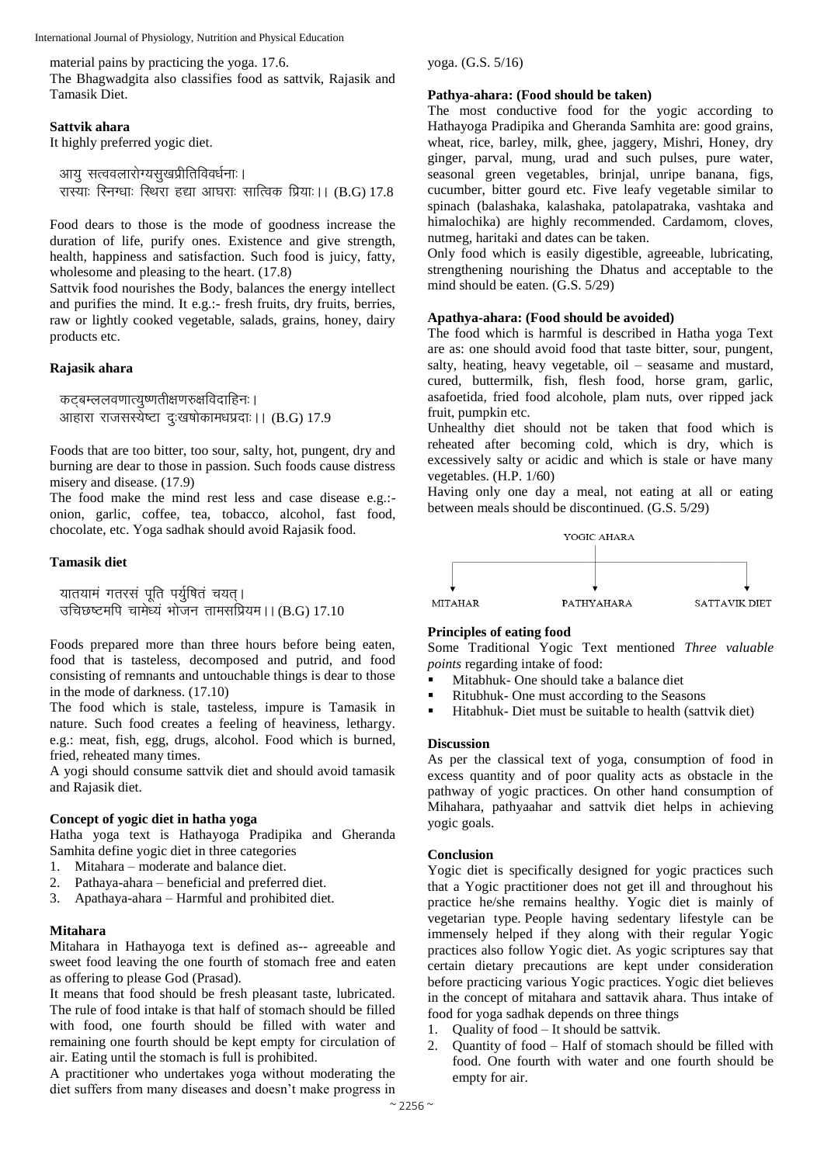International Journal of Physiology, Nutrition and Physical Education

material pains by practicing the yoga. 17.6.

The Bhagwadgita also classifies food as sattvik, Rajasik and Tamasik Diet.

#### **Sattvik ahara**

It highly preferred yogic diet.

आयु सत्ववलारोग्यसुखप्रीतिविवर्धनाः । रास्याः रिनग्धाः स्थिरा हद्या आघराः सात्विक प्रियाः । (B.G) 17.8

Food dears to those is the mode of goodness increase the duration of life, purify ones. Existence and give strength, health, happiness and satisfaction. Such food is juicy, fatty, wholesome and pleasing to the heart.  $(17.8)$ 

Sattvik food nourishes the Body, balances the energy intellect and purifies the mind. It e.g.:- fresh fruits, dry fruits, berries, raw or lightly cooked vegetable, salads, grains, honey, dairy products etc.

#### **Rajasik ahara**

कट्बम्ललवणात्युष्णतीक्षणरुक्षविदाहिनः । आहारा राजसस्येष्टा दःखषोकामधप्रदाः ।। (B.G) 17.9

Foods that are too bitter, too sour, salty, hot, pungent, dry and burning are dear to those in passion. Such foods cause distress misery and disease. (17.9)

The food make the mind rest less and case disease e.g.: onion, garlic, coffee, tea, tobacco, alcohol, fast food, chocolate, etc. Yoga sadhak should avoid Rajasik food.

#### **Tamasik diet**

यातयामं गतरसं पूति पर्युषितं चयत् । उचिछष्टमपि चामेध्य भोजन तामसप्रियम।। (B.G) 17.10

Foods prepared more than three hours before being eaten, food that is tasteless, decomposed and putrid, and food consisting of remnants and untouchable things is dear to those in the mode of darkness. (17.10)

The food which is stale, tasteless, impure is Tamasik in nature. Such food creates a feeling of heaviness, lethargy. e.g.: meat, fish, egg, drugs, alcohol. Food which is burned, fried, reheated many times.

A yogi should consume sattvik diet and should avoid tamasik and Rajasik diet.

#### **Concept of yogic diet in hatha yoga**

Hatha yoga text is Hathayoga Pradipika and Gheranda Samhita define yogic diet in three categories

- 1. Mitahara moderate and balance diet.
- 2. Pathaya-ahara beneficial and preferred diet.
- 3. Apathaya-ahara Harmful and prohibited diet.

#### **Mitahara**

Mitahara in Hathayoga text is defined as-- agreeable and sweet food leaving the one fourth of stomach free and eaten as offering to please God (Prasad).

It means that food should be fresh pleasant taste, lubricated. The rule of food intake is that half of stomach should be filled with food, one fourth should be filled with water and remaining one fourth should be kept empty for circulation of air. Eating until the stomach is full is prohibited.

A practitioner who undertakes yoga without moderating the diet suffers from many diseases and doesn't make progress in

yoga. (G.S. 5/16)

#### **Pathya-ahara: (Food should be taken)**

The most conductive food for the yogic according to Hathayoga Pradipika and Gheranda Samhita are: good grains, wheat, rice, barley, milk, ghee, jaggery, Mishri, Honey, dry ginger, parval, mung, urad and such pulses, pure water, seasonal green vegetables, brinjal, unripe banana, figs, cucumber, bitter gourd etc. Five leafy vegetable similar to spinach (balashaka, kalashaka, patolapatraka, vashtaka and himalochika) are highly recommended. Cardamom, cloves, nutmeg, haritaki and dates can be taken.

Only food which is easily digestible, agreeable, lubricating, strengthening nourishing the Dhatus and acceptable to the mind should be eaten. (G.S. 5/29)

#### **Apathya-ahara: (Food should be avoided)**

The food which is harmful is described in Hatha yoga Text are as: one should avoid food that taste bitter, sour, pungent, salty, heating, heavy vegetable, oil – seasame and mustard, cured, buttermilk, fish, flesh food, horse gram, garlic, asafoetida, fried food alcohole, plam nuts, over ripped jack fruit, pumpkin etc.

Unhealthy diet should not be taken that food which is reheated after becoming cold, which is dry, which is excessively salty or acidic and which is stale or have many vegetables. (H.P. 1/60)

Having only one day a meal, not eating at all or eating between meals should be discontinued. (G.S. 5/29)



#### **Principles of eating food**

Some Traditional Yogic Text mentioned *Three valuable points* regarding intake of food:

- Mitabhuk- One should take a balance diet
- Ritubhuk- One must according to the Seasons
- Hitabhuk- Diet must be suitable to health (sattvik diet)

#### **Discussion**

As per the classical text of yoga, consumption of food in excess quantity and of poor quality acts as obstacle in the pathway of yogic practices. On other hand consumption of Mihahara, pathyaahar and sattvik diet helps in achieving yogic goals.

#### **Conclusion**

Yogic diet is specifically designed for yogic practices such that a Yogic practitioner does not get ill and throughout his practice he/she remains healthy. Yogic diet is mainly of vegetarian type. People having sedentary lifestyle can be immensely helped if they along with their regular Yogic practices also follow Yogic diet. As yogic scriptures say that certain dietary precautions are kept under consideration before practicing various Yogic practices. Yogic diet believes in the concept of mitahara and sattavik ahara. Thus intake of food for yoga sadhak depends on three things

- 1. Quality of food It should be sattvik.
- 2. Quantity of food Half of stomach should be filled with food. One fourth with water and one fourth should be empty for air.